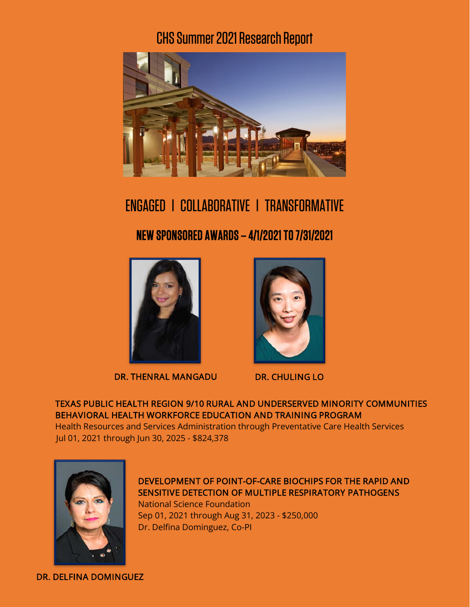# CHS Summer 2021Research Report



ENGAGED l COLLABORATIVE l TRANSFORMATIVE NEW SPONSORED AWARDS – 4/1/2021 TO 7/31/2021



DR. THENRAL MANGADU DR. CHULING LO



TEXAS PUBLIC HEALTH REGION 9/10 RURAL AND UNDERSERVED MINORITY COMMUNITIES BEHAVIORAL HEALTH WORKFORCE EDUCATION AND TRAINING PROGRAM

Health Resources and Services Administration through Preventative Care Health Services Jul 01, 2021 through Jun 30, 2025 - \$824,378



DEVELOPMENT OF POINT-OF-CARE BIOCHIPS FOR THE RAPID AND SENSITIVE DETECTION OF MULTIPLE RESPIRATORY PATHOGENS National Science Foundation Sep 01, 2021 through Aug 31, 2023 - \$250,000 Dr. Delfina Dominguez, Co-PI

DR. DELFINA DOMINGUEZ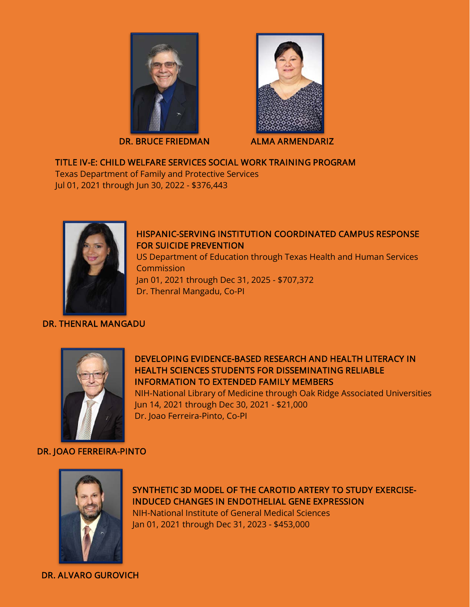

DR. BRUCE FRIEDMAN ALMA ARMENDARIZ



## TITLE IV-E: CHILD WELFARE SERVICES SOCIAL WORK TRAINING PROGRAM

Texas Department of Family and Protective Services Jul 01, 2021 through Jun 30, 2022 - \$376,443



#### DR. THENRAL MANGADU

### HISPANIC-SERVING INSTITUTION COORDINATED CAMPUS RESPONSE FOR SUICIDE PREVENTION

US Department of Education through Texas Health and Human Services Commission Jan 01, 2021 through Dec 31, 2025 - \$707,372 Dr. Thenral Mangadu, Co-PI



DEVELOPING EVIDENCE-BASED RESEARCH AND HEALTH LITERACY IN HEALTH SCIENCES STUDENTS FOR DISSEMINATING RELIABLE INFORMATION TO EXTENDED FAMILY MEMBERS

NIH-National Library of Medicine through Oak Ridge Associated Universities Jun 14, 2021 through Dec 30, 2021 - \$21,000 Dr. Joao Ferreira-Pinto, Co-PI

## DR. JOAO FERREIRA-PINTO



SYNTHETIC 3D MODEL OF THE CAROTID ARTERY TO STUDY EXERCISE-INDUCED CHANGES IN ENDOTHELIAL GENE EXPRESSION NIH-National Institute of General Medical Sciences Jan 01, 2021 through Dec 31, 2023 - \$453,000

DR. ALVARO GUROVICH